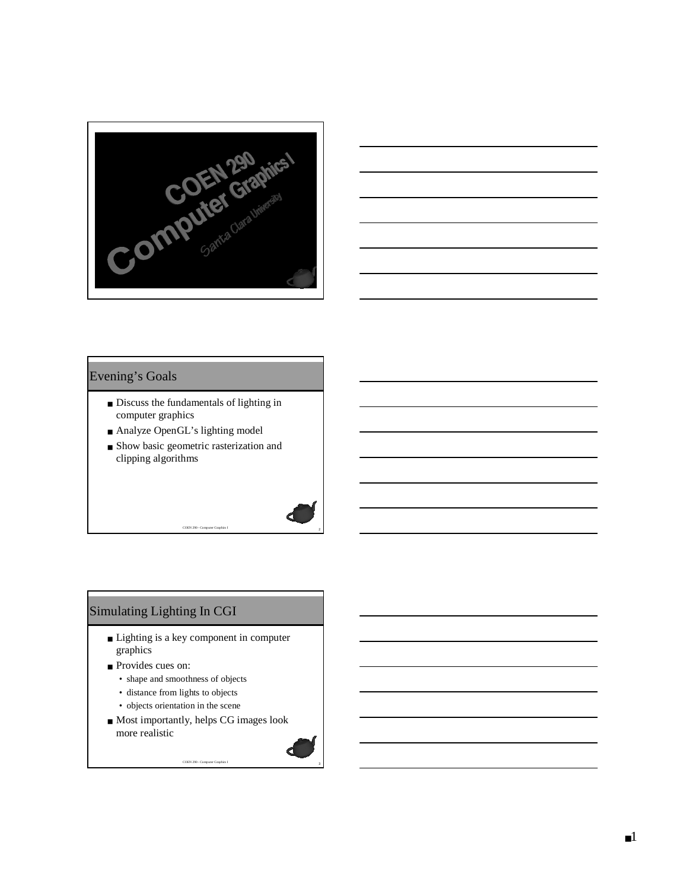



#### Evening's Goals

- Discuss the fundamentals of lighting in computer graphics
- Analyze OpenGL's lighting model
- Show basic geometric rasterization and clipping algorithms

<sup>2</sup> COEN 290 - Computer Graphics I

# Simulating Lighting In CGI

- Lighting is a key component in computer graphics
- Provides cues on:
	- shape and smoothness of objects
	- distance from lights to objects
	- objects orientation in the scene
- Most importantly, helps CG images look more realistic

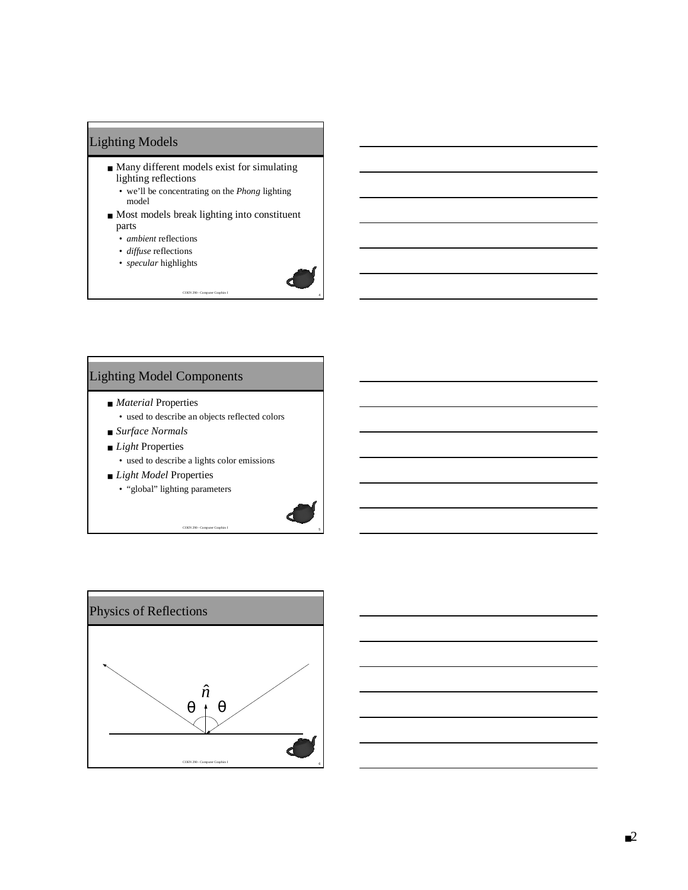# Lighting Models

- Many different models exist for simulating lighting reflections
	- we'll be concentrating on the *Phong* lighting model
- Most models break lighting into constituent parts

<sup>4</sup> COEN 290 - Computer Graphics I

- *ambient* reflections
- *diffuse* reflections
- *specular* highlights



# Lighting Model Components

- *Material* Properties
	- used to describe an objects reflected colors
- *Surface Normals*
- *Light* Properties
- used to describe a lights color emissions

- *Light Model* Properties
	- "global" lighting parameters



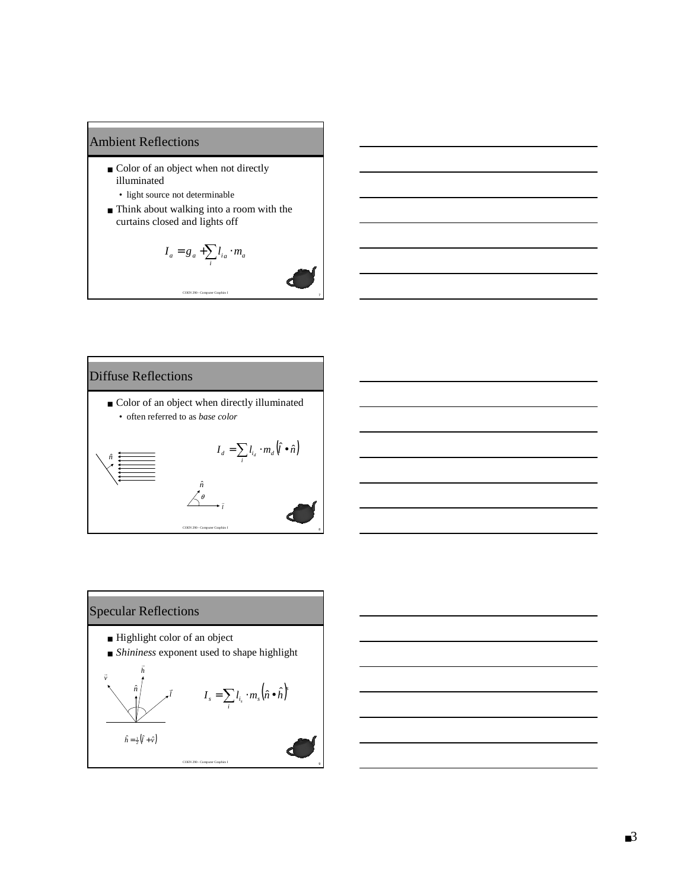#### Ambient Reflections

- Color of an object when not directly illuminated
	- light source not determinable
- Think about walking into a room with the curtains closed and lights off

$$
I_a = g_a + \sum_i l_{ia} \cdot m_a
$$



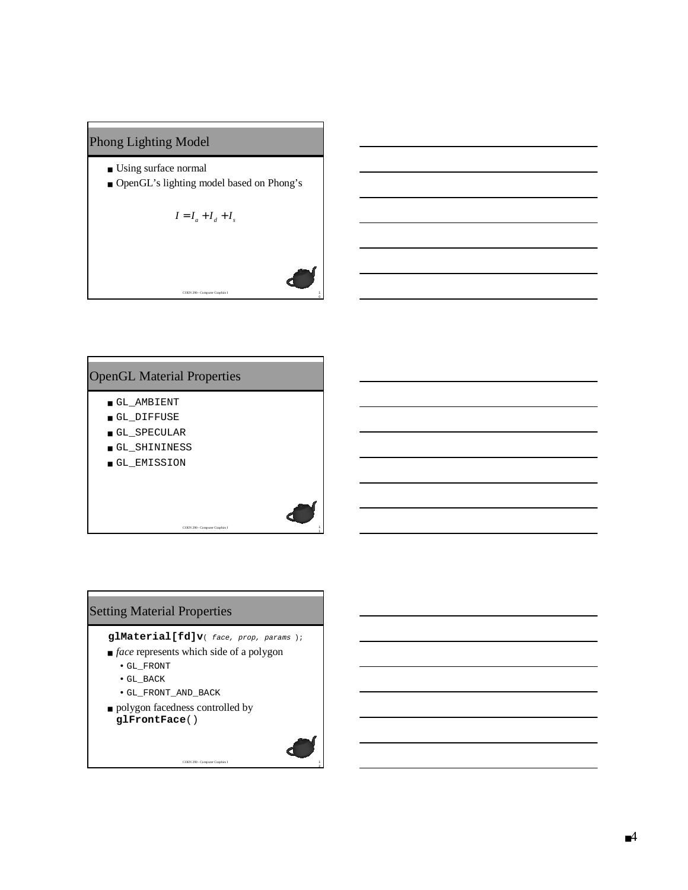## Phong Lighting Model

- Using surface normal
- OpenGL's lighting model based on Phong's

$$
I = I_a + I_d + I_s
$$

COEN 290 - Computer Graphics I

# OpenGL Material Properties

- GL\_AMBIENT
- GL\_DIFFUSE
- GL\_SPECULAR
- GL\_SHININESS
- GL\_EMISSION

# Setting Material Properties

#### **glMaterial[fd]v**( face, prop, params );

COEN 290 - Computer Graphics I

COEN 290 - Computer Graphics I

- *face* represents which side of a polygon
	- GL\_FRONT
	- GL\_BACK
	- GL\_FRONT\_AND\_BACK
- polygon facedness controlled by **glFrontFace**()



 $\mathfrak o$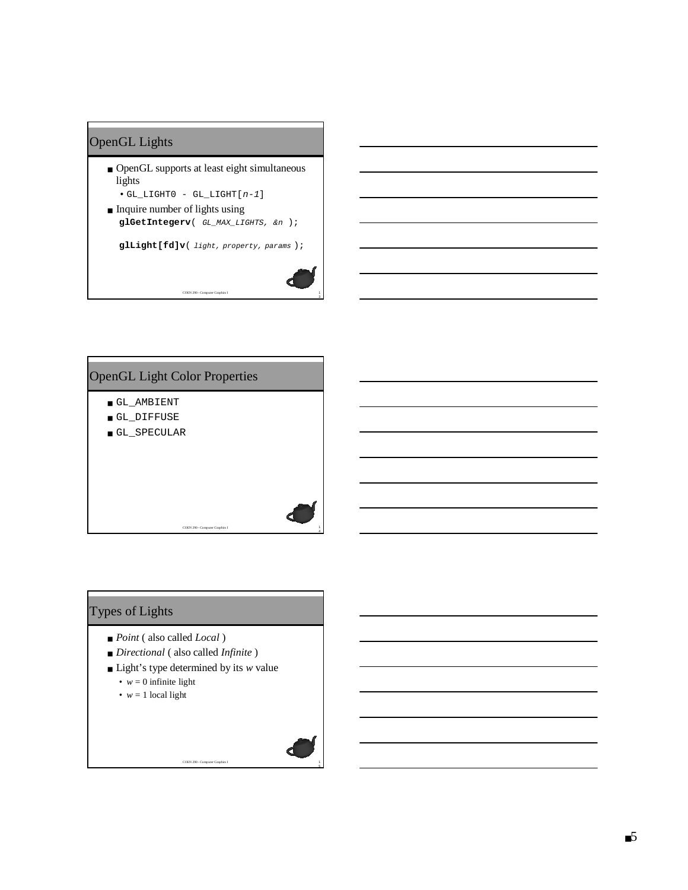# OpenGL Lights

- OpenGL supports at least eight simultaneous lights  $\bullet$  GL\_LIGHT0 - GL\_LIGHT[ $n-1$ ]
- Inquire number of lights using

**glGetIntegerv**( GL\_MAX\_LIGHTS, &n );

COEN 290 - Computer Graphics I

**glLight[fd]v**( light, property, params );



4

# OpenGL Light Color Properties

- GL\_AMBIENT
- GL\_DIFFUSE
- GL\_SPECULAR

# Types of Lights

- *Point* ( also called *Local* )
- *Directional* ( also called *Infinite* )
- Light's type determined by its *w* value

COEN 290 - Computer Graphics I

- $w = 0$  infinite light
- $w = 1$  local light

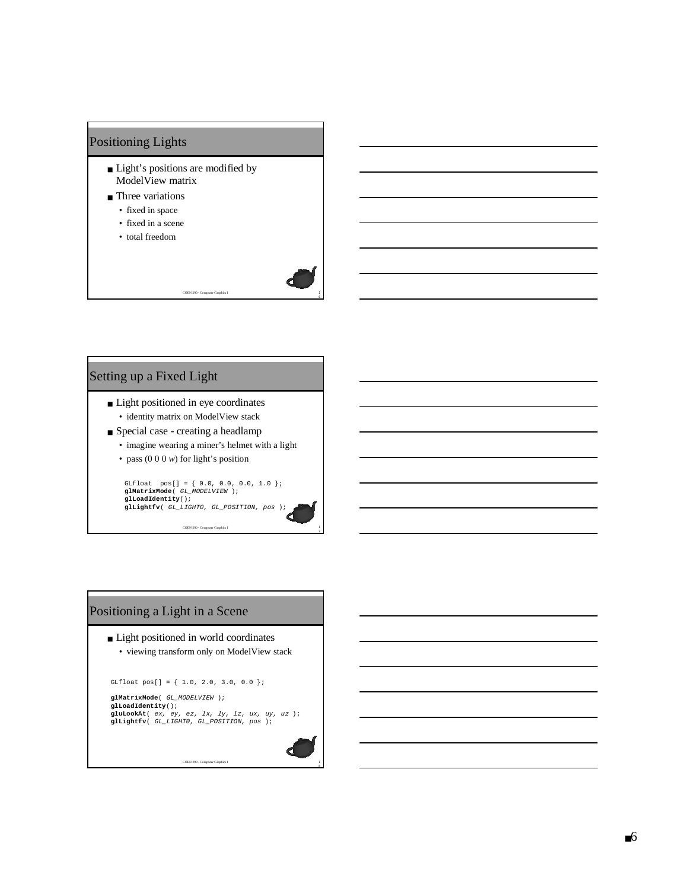# Positioning Lights

- Light's positions are modified by ModelView matrix
- Three variations
	- fixed in space
	- fixed in a scene
	- total freedom

#### Setting up a Fixed Light

- Light positioned in eye coordinates • identity matrix on ModelView stack
- Special case creating a headlamp
	- imagine wearing a miner's helmet with a light

COEN 290 - Computer Graphics I

• pass (0 0 0 *w*) for light's position

GLfloat pos[] = { 0.0, 0.0, 0.0, 1.0 }; **glMatrixMode**( GL\_MODELVIEW ); **glLoadIdentity**(); **glLightfv**( GL\_LIGHT0, GL\_POSITION, pos );

COEN 290 - Computer Graphics I

# Positioning a Light in a Scene

- Light positioned in world coordinates
	- viewing transform only on ModelView stack

GLfloat pos[] = { 1.0, 2.0, 3.0, 0.0 };

**glMatrixMode**( GL\_MODELVIEW ); **glLoadIdentity**(); **gluLookAt**( ex, ey, ez, lx, ly, lz, ux, uy, uz ); **glLightfv**( GL\_LIGHT0, GL\_POSITION, pos );

COEN 290 - Computer Graphics I



8

6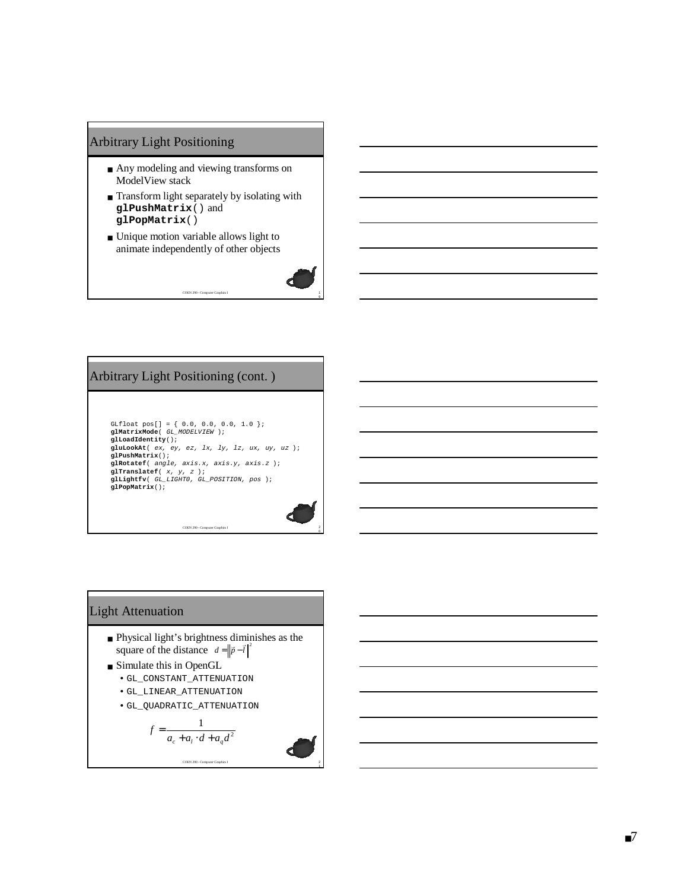#### Arbitrary Light Positioning

- Any modeling and viewing transforms on ModelView stack
- Transform light separately by isolating with **glPushMatrix**() and **glPopMatrix**()

COEN 290 - Computer Graphics I

■ Unique motion variable allows light to animate independently of other objects



#### Arbitrary Light Positioning (cont. )

GLfloat pos[] = { 0.0, 0.0, 0.0, 1.0 }; **glMatrixMode**( GL\_MODELVIEW ); **glLoadIdentity**(); **gluLookAt**( ex, ey, ez, lx, ly, lz, ux, uy, uz ); **glPushMatrix**(); **glRotatef**( angle, axis.x, axis.y, axis.z ); **glTranslatef**( x, y, <sup>z</sup> ); **glLightfv**( GL\_LIGHT0, GL\_POSITION, pos ); **glPopMatrix**();

COEN 290 - Computer Graphics I

#### Light Attenuation

- Physical light's brightness diminishes as the square of the distance  $d = ||\vec{p} - \vec{l}||^2$
- Simulate this in OpenGL
	- GL\_CONSTANT\_ATTENUATION
	- GL\_LINEAR\_ATTENUATION
	- GL\_QUADRATIC\_ATTENUATION

$$
f = \frac{1}{a_c + a_l \cdot d + a_q d^2}
$$

COEN 290 - Computer Graphics I

$$
\bullet
$$

2 1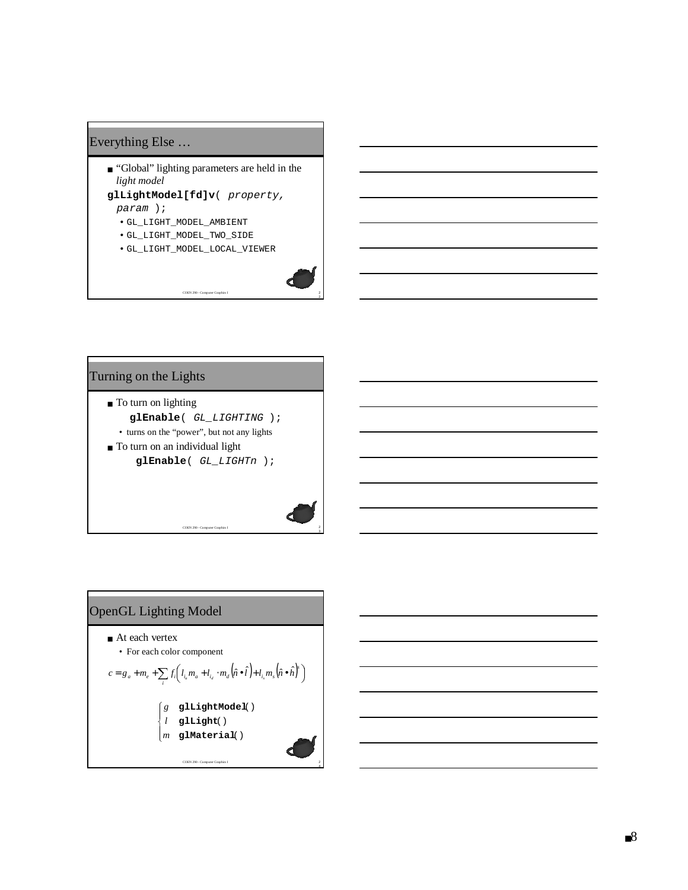# Everything Else …

- "Global" lighting parameters are held in the *light model*
- **glLightModel[fd]v**( property, param );
	- GL\_LIGHT\_MODEL\_AMBIENT
	- GL\_LIGHT\_MODEL\_TWO\_SIDE
	- GL\_LIGHT\_MODEL\_LOCAL\_VIEWER

COEN 290 - Computer Graphics I



3

2 4

#### Turning on the Lights

- To turn on lighting **glEnable**( GL\_LIGHTING ); • turns on the "power", but not any lights
- To turn on an individual light **glEnable**( GL\_LIGHTn );

COEN 290 - Computer Graphics I

# OpenGL Lighting Model

- At each vertex
	- For each color component

$$
c = g_a + m_e + \sum_i f_i \left( I_{i_e} m_a + l_{i_d} \cdot m_d \left( \hat{n} \bullet \hat{l} \right) + l_{i_s} m_s \left( \hat{n} \bullet \hat{h} \right)^{\dagger} \right)
$$
\n
$$
\begin{cases}\ng & \text{glLightModel} \ ( \text{grad } l \text{grad } l \text{grad } l \text{grad } l \text{grad } l \text{grad } l \text{grad } l \text{grad } l \text{grad } l \text{grad } l \text{grad } l \text{grad } l \text{grad } l \text{grad } l \text{grad } l \text{grad } l \text{grad } l \text{grad } l \text{grad } l \text{grad } l \text{grad } l \text{grad } l \text{grad } l \text{grad } l \text{grad } l \text{grad } l \text{grad } l \text{grad } l \text{grad } l \text{grad } l \text{grad } l \text{grad } l \text{grad } l \text{grad } l \text{grad } l \text{grad } l \text{grad } l \text{grad } l \text{grad } l \text{grad } l \text{grad } l \text{grad } l \text{grad } l \text{grad } l \text{grad } l \text{grad } l \text{grad } l \text{grad } l \text{grad } l \text{grad } l \text{grad } l \text{grad } l \text{grad } l \text{grad } l \text{grad } l \text{grad } l \text{grad } l \text{grad } l \text{grad } l \text{grad } l \text{grad } l \text{grad } l \text{grad } l \text{grad } l \text{grad } l \text{grad } l \text{grad } l \text{grad } l \text{grad } l \text{grad } l \text{grad } l \text{grad } l \text{grad } l \text{grad } l \text{grad } l \text{grad } l \text{grad } l \text{grad } l \text{grad } l \text{grad } l \text{grad } l \text{grad } l \text{grad } l \text{grad } l \text{grad } l \text{grad } l \text{grad } l \text{grad } l \text{grad } l \text{grad } l \text{grad } l \text{grad } l \text{grad } l \text{grad } l \text{grad } l \text{grad } l \text{grad } l \text{grad } l \text{grad } l \text{grad } l \text{grad } l \text{grad } l \text{grad } l \text{grad } l \text{grad } l \text{grad } l \text{grad } l \text{grad } l \text{grad }
$$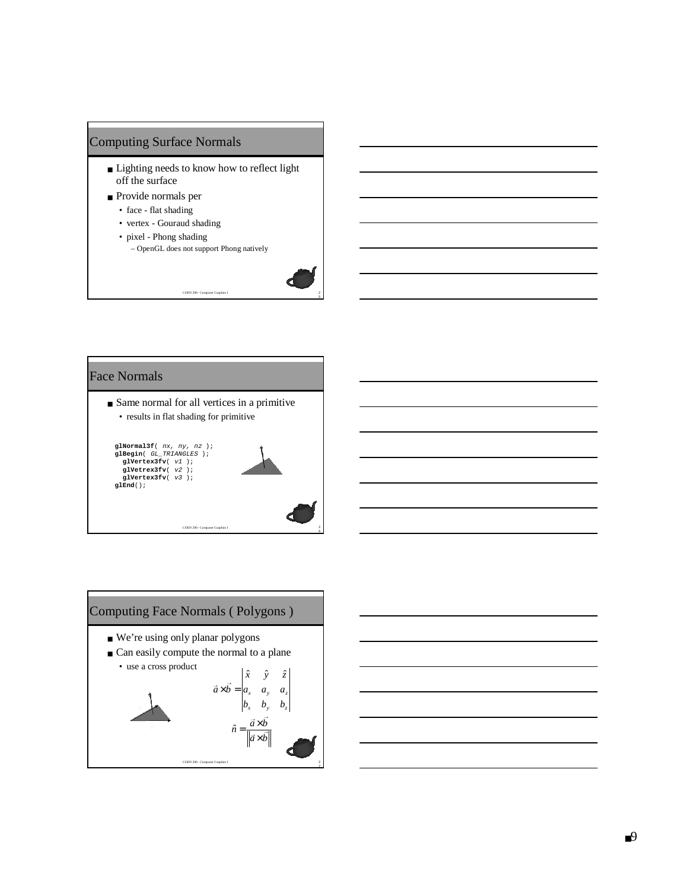

- Lighting needs to know how to reflect light off the surface
- Provide normals per
	- face flat shading
	- vertex Gouraud shading
	- pixel Phong shading
		- OpenGL does not support Phong natively

COEN 290 - Computer Graphics I



## Face Normals

■ Same normal for all vertices in a primitive • results in flat shading for primitive





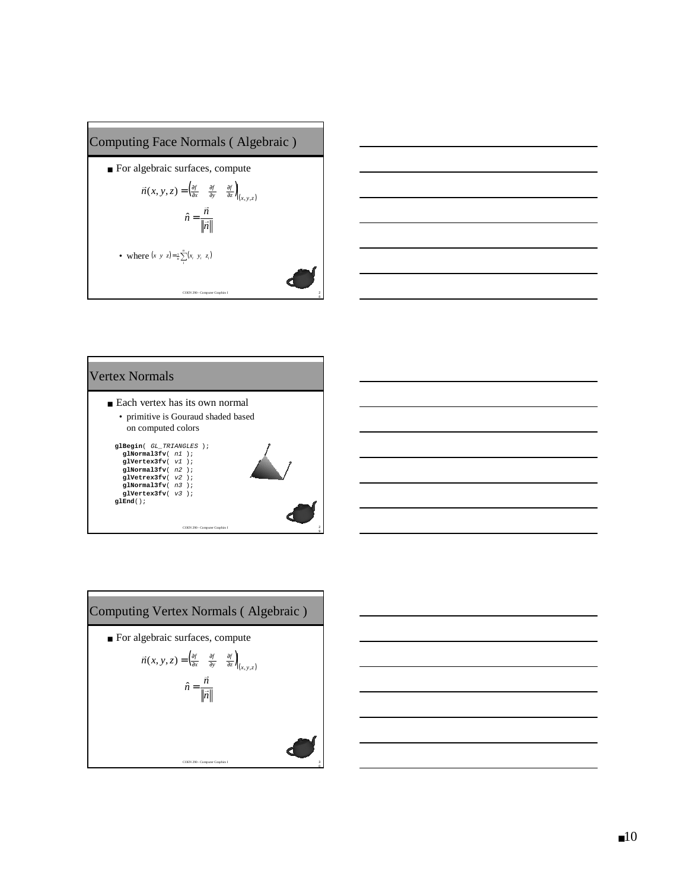





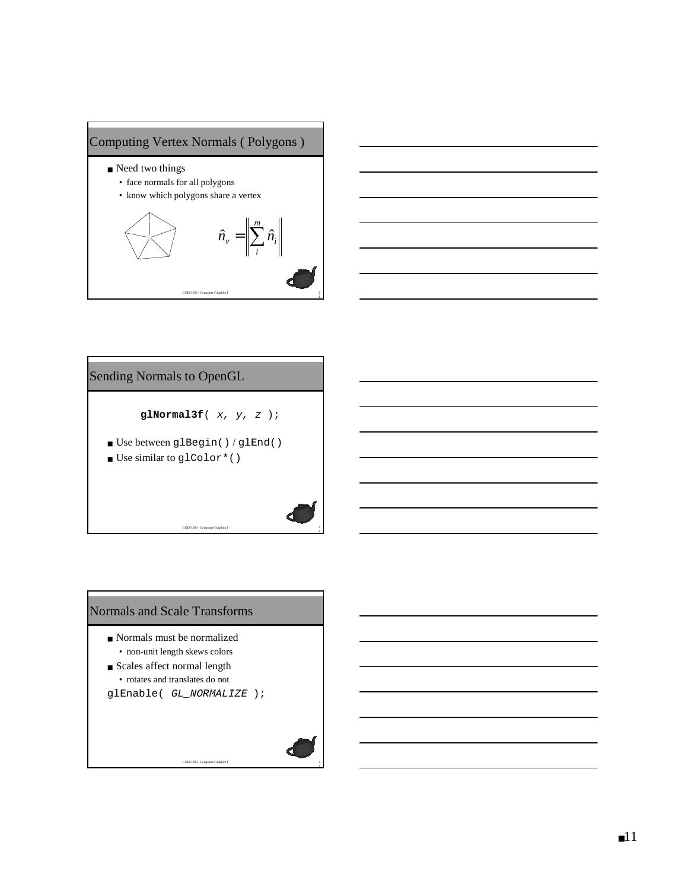



# COEN 290 - Computer Graphics I Sending Normals to OpenGL **glNormal3f**( x, y, <sup>z</sup> ); ■ Use between glBegin() / glEnd() ■ Use similar to glColor\*()

2

3 3



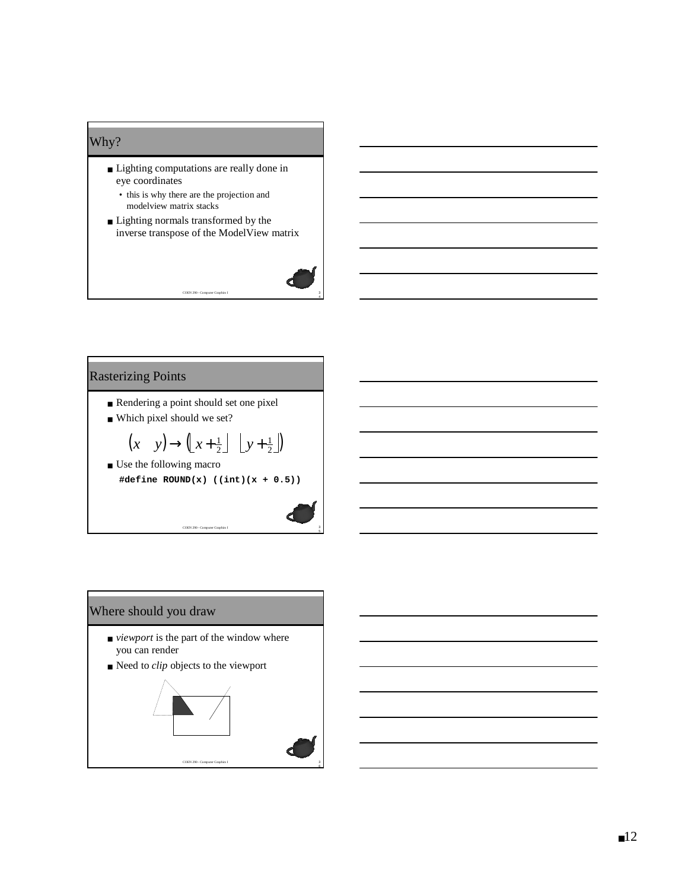## Why?

- Lighting computations are really done in eye coordinates
	- this is why there are the projection and modelview matrix stacks
- Lighting normals transformed by the inverse transpose of the ModelView matrix

COEN 290 - Computer Graphics I



5

# Rasterizing Points

- Rendering a point should set one pixel
- Which pixel should we set?
- Use the following macro  $(x \quad y) \rightarrow (x + \frac{1}{2}) \quad y + \frac{1}{2})$ <br>
e the following macro 1  $(x + y) \rightarrow (x + \frac{1}{2})$   $\lfloor y + \frac{1}{2} \rfloor$
- **#define ROUND(x) ((int)(x + 0.5))**

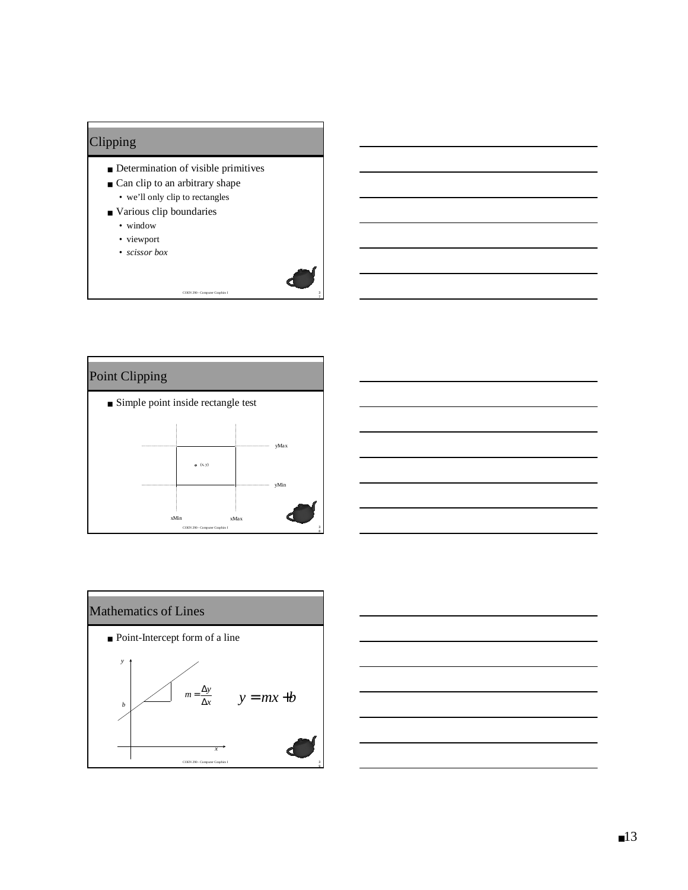# Clipping

- Determination of visible primitives
- Can clip to an arbitrary shape • we'll only clip to rectangles
- Various clip boundaries
	- window
	- viewport
	- *scissor box*







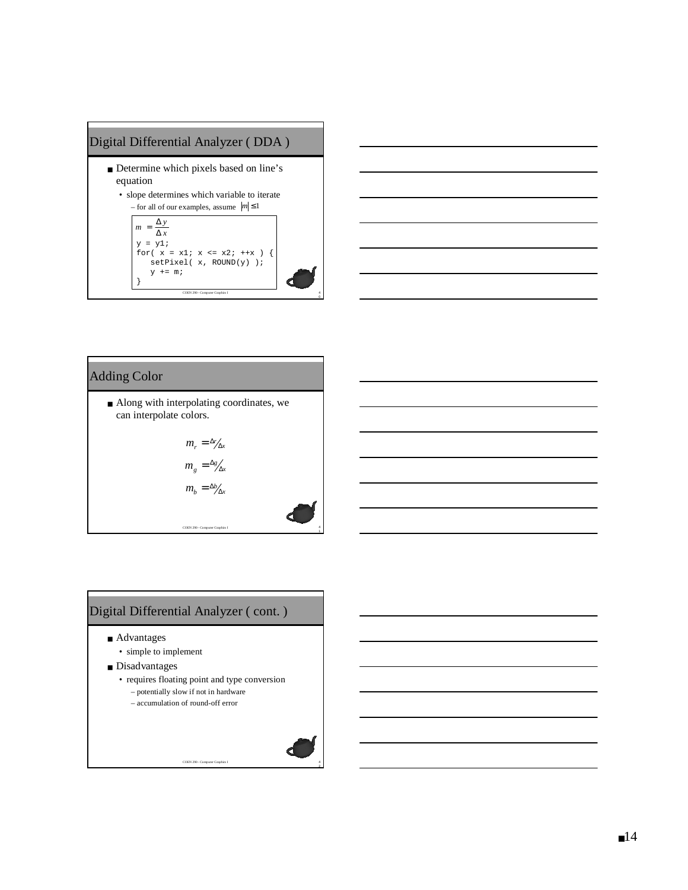



# Adding Color

■ Along with interpolating coordinates, we can interpolate colors.

$$
m_r = \frac{\Delta r}{\Delta x}
$$
  

$$
m_g = \frac{\Delta g}{\Delta x}
$$
  

$$
m_b = \frac{\Delta b}{\Delta x}
$$

# Digital Differential Analyzer ( cont. )

- Advantages
	- simple to implement
- Disadvantages
	- requires floating point and type conversion – potentially slow if not in hardware

COEN 290 - Computer Graphics I

– accumulation of round-off error

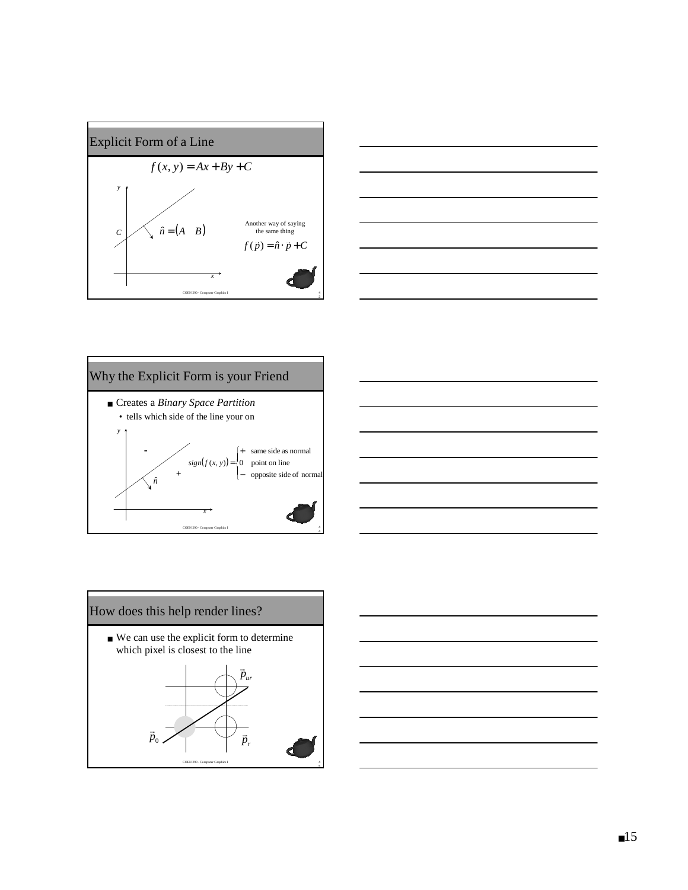









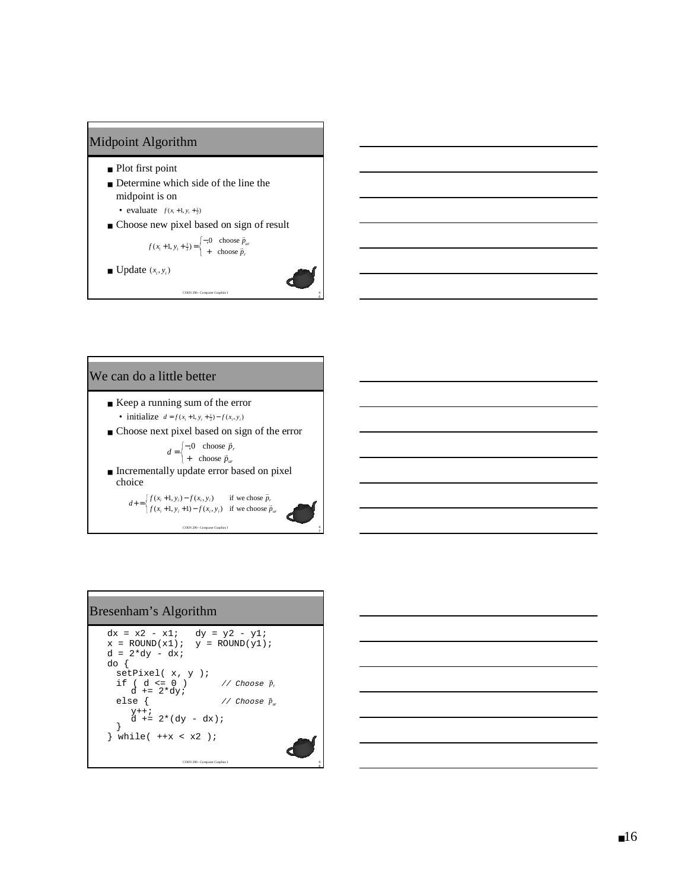

#### We can do a little better

- Keep a running sum of the error • initialize  $d = f(x_i + 1, y_i + \frac{1}{2}) - f(x_i, y_i)$
- Choose next pixel based on sign of the error
	- $=\begin{cases} -0 & \text{choose } \vec{p} \\ + & \text{choose } \vec{p}_w \end{cases}$  $d = \begin{cases} -0 & \text{choose } \vec{p} \\ + & \text{choose } \vec{p} \end{cases}$  $\frac{1}{11}$ , 0 choose
		- choose
- Incrementally update error based on pixel choice

COEN 290 - Computer Graphics I  $\begin{cases} f(x_i+1, y_i+1) - f(x_i+1, y_i+1) \end{cases}$  $+ = \begin{cases} f(x_i + 1, y_i) - f(x_i, y_i) & \text{if we chose } \vec{p}_r \\ f(x_i + 1, y_i + 1) - f(x_i, y_i) & \text{if we choose } \vec{p}_w \end{cases}$ *f*(*x<sub>i</sub>*+1, *y<sub>i</sub>*+1) = *f*(*x<sub>i</sub>*, *y<sub>i</sub>*) if we choose  $\vec{p}$  $d^2 = \begin{cases} f(x_i + 1, y_i) - f(x_i, y_i) & \text{if we chose } \vec{p}_r \\ f(x + 1, y + 1) - f(x, y) & \text{if we choose } \vec{p}_r \end{cases}$  $\vec{p}$  $(x_i+1, y_i+1) - f(x_i, y_i)$  if we choose  $(x_i+1, y_i) - f(x_i, y_i)$  if we chose

 $\frac{4}{7}$ 

4<br>8

#### Bresenham's Algorithm

```
COEN 290 - Computer Graphics I
dx = x2 - x1; dy = y2 - y1;
\mathtt{x = \texttt{ROUND}(\mathtt{x1}) \texttt{;} \quad \mathtt{y = \texttt{ROUND}(\mathtt{y1}) \texttt{;}\mathtt{d}\ =\ 2\,{*}\mathtt{dy}\ -\ \mathtt{dx}\, ido {
     setPixel( x, y );
     \begin{array}{ccc} \texttt{if} &amp; (\; \mathtt{d} \; \texttt{<=}\; 0 \; ) &amp; \texttt{ // Choose} \\ \texttt{d} \; \texttt{+=}\; 2^{\star} \mathtt{d} \mathtt{y} \texttt{;} &amp; \end{array}if ( d \le 0 ) <br>
d' = 2 * dy;<br>
else { // Choose \bar{p}_wy++;
d += 2*(dy - dx);
     }
 } while( ++x < x2 );
```